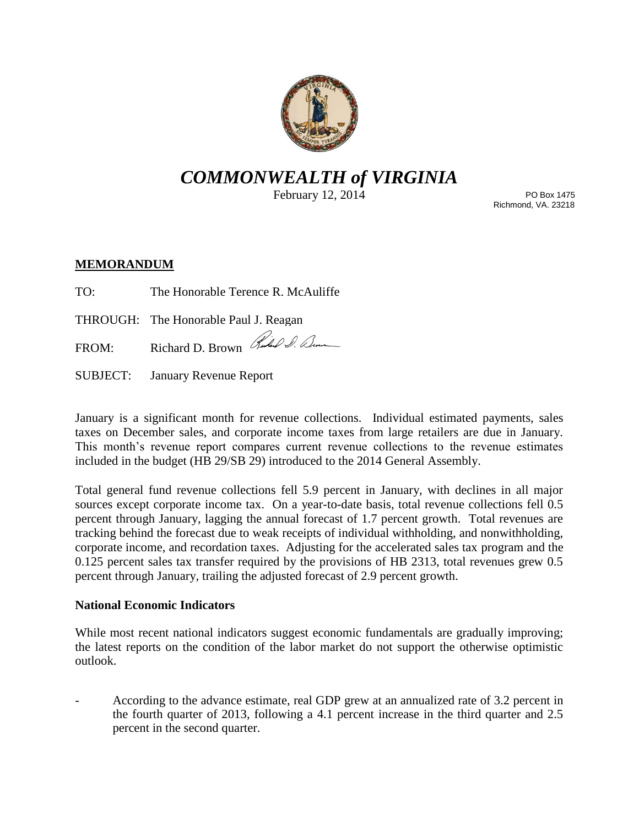

# *COMMONWEALTH of VIRGINIA*

February 12, 2014

PO Box 1475 Richmond, VA. 23218

## **MEMORANDUM**

TO: The Honorable Terence R. McAuliffe

THROUGH: The Honorable Paul J. Reagan

FROM: Richard D. Brown Rubel S. Denne

SUBJECT: January Revenue Report

January is a significant month for revenue collections. Individual estimated payments, sales taxes on December sales, and corporate income taxes from large retailers are due in January. This month's revenue report compares current revenue collections to the revenue estimates included in the budget (HB 29/SB 29) introduced to the 2014 General Assembly.

Total general fund revenue collections fell 5.9 percent in January, with declines in all major sources except corporate income tax. On a year-to-date basis, total revenue collections fell 0.5 percent through January, lagging the annual forecast of 1.7 percent growth. Total revenues are tracking behind the forecast due to weak receipts of individual withholding, and nonwithholding, corporate income, and recordation taxes. Adjusting for the accelerated sales tax program and the 0.125 percent sales tax transfer required by the provisions of HB 2313, total revenues grew 0.5 percent through January, trailing the adjusted forecast of 2.9 percent growth.

## **National Economic Indicators**

While most recent national indicators suggest economic fundamentals are gradually improving; the latest reports on the condition of the labor market do not support the otherwise optimistic outlook.

- According to the advance estimate, real GDP grew at an annualized rate of 3.2 percent in the fourth quarter of 2013, following a 4.1 percent increase in the third quarter and 2.5 percent in the second quarter.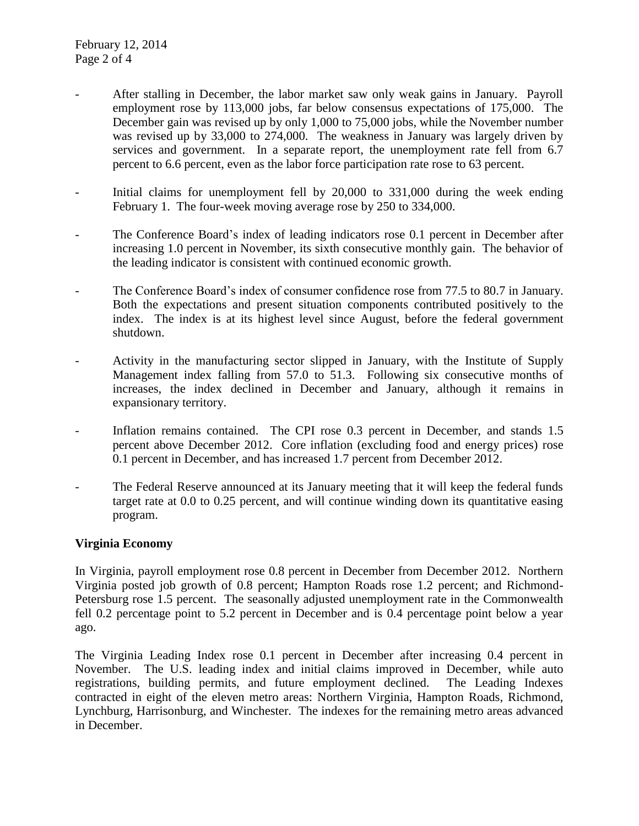- After stalling in December, the labor market saw only weak gains in January. Payroll employment rose by 113,000 jobs, far below consensus expectations of 175,000. The December gain was revised up by only 1,000 to 75,000 jobs, while the November number was revised up by 33,000 to 274,000. The weakness in January was largely driven by services and government. In a separate report, the unemployment rate fell from 6.7 percent to 6.6 percent, even as the labor force participation rate rose to 63 percent.
- Initial claims for unemployment fell by 20,000 to 331,000 during the week ending February 1. The four-week moving average rose by 250 to 334,000.
- The Conference Board's index of leading indicators rose 0.1 percent in December after increasing 1.0 percent in November, its sixth consecutive monthly gain. The behavior of the leading indicator is consistent with continued economic growth.
- The Conference Board's index of consumer confidence rose from 77.5 to 80.7 in January. Both the expectations and present situation components contributed positively to the index. The index is at its highest level since August, before the federal government shutdown.
- Activity in the manufacturing sector slipped in January, with the Institute of Supply Management index falling from 57.0 to 51.3. Following six consecutive months of increases, the index declined in December and January, although it remains in expansionary territory.
- Inflation remains contained. The CPI rose 0.3 percent in December, and stands 1.5 percent above December 2012. Core inflation (excluding food and energy prices) rose 0.1 percent in December, and has increased 1.7 percent from December 2012.
- The Federal Reserve announced at its January meeting that it will keep the federal funds target rate at 0.0 to 0.25 percent, and will continue winding down its quantitative easing program.

#### **Virginia Economy**

In Virginia, payroll employment rose 0.8 percent in December from December 2012. Northern Virginia posted job growth of 0.8 percent; Hampton Roads rose 1.2 percent; and Richmond-Petersburg rose 1.5 percent. The seasonally adjusted unemployment rate in the Commonwealth fell 0.2 percentage point to 5.2 percent in December and is 0.4 percentage point below a year ago.

The Virginia Leading Index rose 0.1 percent in December after increasing 0.4 percent in November. The U.S. leading index and initial claims improved in December, while auto registrations, building permits, and future employment declined. The Leading Indexes contracted in eight of the eleven metro areas: Northern Virginia, Hampton Roads, Richmond, Lynchburg, Harrisonburg, and Winchester. The indexes for the remaining metro areas advanced in December.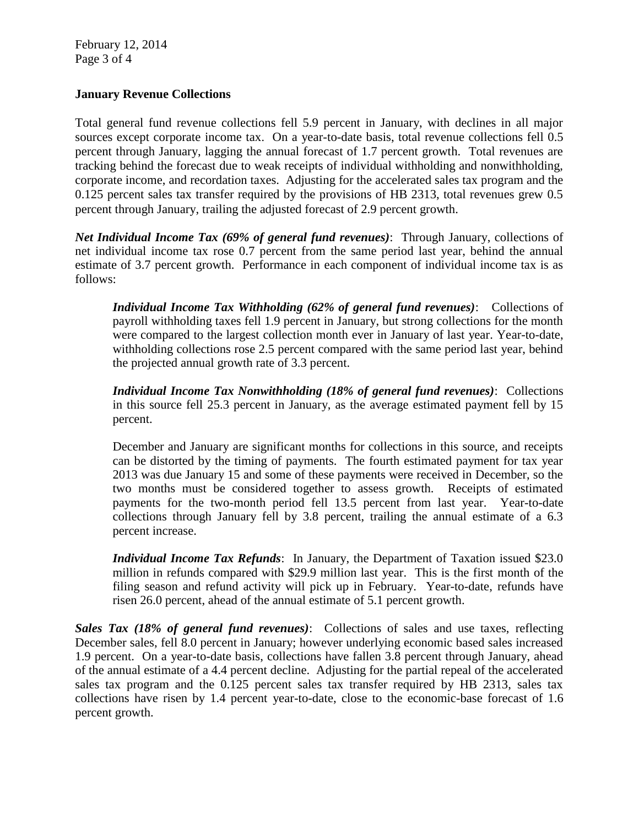February 12, 2014 Page 3 of 4

### **January Revenue Collections**

Total general fund revenue collections fell 5.9 percent in January, with declines in all major sources except corporate income tax. On a year-to-date basis, total revenue collections fell 0.5 percent through January, lagging the annual forecast of 1.7 percent growth. Total revenues are tracking behind the forecast due to weak receipts of individual withholding and nonwithholding, corporate income, and recordation taxes. Adjusting for the accelerated sales tax program and the 0.125 percent sales tax transfer required by the provisions of HB 2313, total revenues grew 0.5 percent through January, trailing the adjusted forecast of 2.9 percent growth.

*Net Individual Income Tax (69% of general fund revenues)*: Through January, collections of net individual income tax rose 0.7 percent from the same period last year, behind the annual estimate of 3.7 percent growth. Performance in each component of individual income tax is as follows:

*Individual Income Tax Withholding (62% of general fund revenues)*: Collections of payroll withholding taxes fell 1.9 percent in January, but strong collections for the month were compared to the largest collection month ever in January of last year. Year-to-date, withholding collections rose 2.5 percent compared with the same period last year, behind the projected annual growth rate of 3.3 percent.

*Individual Income Tax Nonwithholding (18% of general fund revenues)*: Collections in this source fell 25.3 percent in January, as the average estimated payment fell by 15 percent.

December and January are significant months for collections in this source, and receipts can be distorted by the timing of payments. The fourth estimated payment for tax year 2013 was due January 15 and some of these payments were received in December, so the two months must be considered together to assess growth. Receipts of estimated payments for the two-month period fell 13.5 percent from last year. Year-to-date collections through January fell by 3.8 percent, trailing the annual estimate of a 6.3 percent increase.

*Individual Income Tax Refunds*: In January, the Department of Taxation issued \$23.0 million in refunds compared with \$29.9 million last year. This is the first month of the filing season and refund activity will pick up in February. Year-to-date, refunds have risen 26.0 percent, ahead of the annual estimate of 5.1 percent growth.

*Sales Tax (18% of general fund revenues)*: Collections of sales and use taxes, reflecting December sales, fell 8.0 percent in January; however underlying economic based sales increased 1.9 percent. On a year-to-date basis, collections have fallen 3.8 percent through January, ahead of the annual estimate of a 4.4 percent decline. Adjusting for the partial repeal of the accelerated sales tax program and the 0.125 percent sales tax transfer required by HB 2313, sales tax collections have risen by 1.4 percent year-to-date, close to the economic-base forecast of 1.6 percent growth.